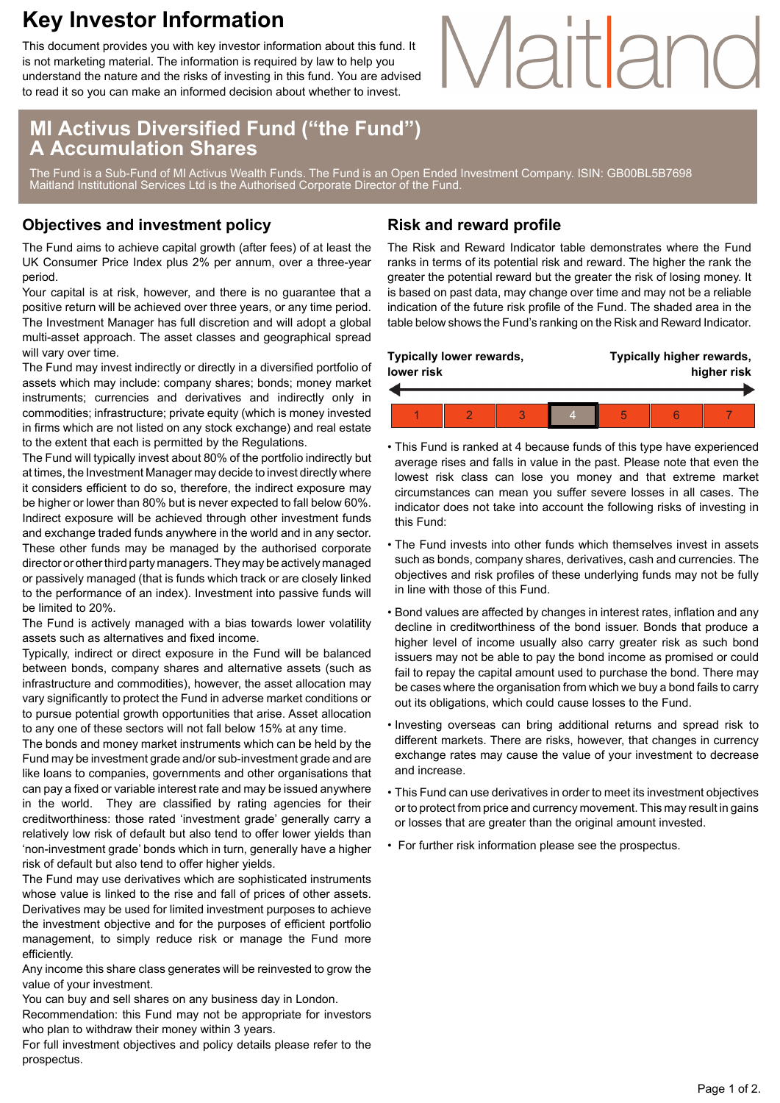## **Key Investor Information**

This document provides you with key investor information about this fund. It is not marketing material. The information is required by law to help you understand the nature and the risks of investing in this fund. You are advised to read it so you can make an informed decision about whether to invest.

### **MI Activus Diversified Fund ("the Fund") A Accumulation Shares**

The Fund is a Sub-Fund of MI Activus Wealth Funds. The Fund is an Open Ended Investment Company. ISIN: GB00BL5B7698 Maitland Institutional Services Ltd is the Authorised Corporate Director of the Fund.

### **Objectives and investment policy**

The Fund aims to achieve capital growth (after fees) of at least the UK Consumer Price Index plus 2% per annum, over a three-year period.

Your capital is at risk, however, and there is no guarantee that a positive return will be achieved over three years, or any time period. The Investment Manager has full discretion and will adopt a global multi-asset approach. The asset classes and geographical spread will vary over time.

The Fund may invest indirectly or directly in a diversified portfolio of assets which may include: company shares; bonds; money market instruments; currencies and derivatives and indirectly only in commodities; infrastructure; private equity (which is money invested in firms which are not listed on any stock exchange) and real estate to the extent that each is permitted by the Regulations.

The Fund will typically invest about 80% of the portfolio indirectly but at times, the Investment Manager may decide to invest directly where it considers efficient to do so, therefore, the indirect exposure may be higher or lower than 80% but is never expected to fall below 60%. Indirect exposure will be achieved through other investment funds and exchange traded funds anywhere in the world and in any sector. These other funds may be managed by the authorised corporate director or other third party managers. They may be actively managed or passively managed (that is funds which track or are closely linked to the performance of an index). Investment into passive funds will be limited to 20%.

The Fund is actively managed with a bias towards lower volatility assets such as alternatives and fixed income.

Typically, indirect or direct exposure in the Fund will be balanced between bonds, company shares and alternative assets (such as infrastructure and commodities), however, the asset allocation may vary significantly to protect the Fund in adverse market conditions or to pursue potential growth opportunities that arise. Asset allocation to any one of these sectors will not fall below 15% at any time.

The bonds and money market instruments which can be held by the Fund may be investment grade and/or sub-investment grade and are like loans to companies, governments and other organisations that can pay a fixed or variable interest rate and may be issued anywhere in the world. They are classified by rating agencies for their creditworthiness: those rated 'investment grade' generally carry a relatively low risk of default but also tend to offer lower yields than 'non-investment grade' bonds which in turn, generally have a higher risk of default but also tend to offer higher yields.

The Fund may use derivatives which are sophisticated instruments whose value is linked to the rise and fall of prices of other assets. Derivatives may be used for limited investment purposes to achieve the investment objective and for the purposes of efficient portfolio management, to simply reduce risk or manage the Fund more efficiently.

Any income this share class generates will be reinvested to grow the value of your investment.

You can buy and sell shares on any business day in London. Recommendation: this Fund may not be appropriate for investors

who plan to withdraw their money within 3 years. For full investment objectives and policy details please refer to the

prospectus.

### **Risk and reward profile**

The Risk and Reward Indicator table demonstrates where the Fund ranks in terms of its potential risk and reward. The higher the rank the greater the potential reward but the greater the risk of losing money. It is based on past data, may change over time and may not be a reliable indication of the future risk profile of the Fund. The shaded area in the table below shows the Fund's ranking on the Risk and Reward Indicator.

Maitland

| Typically lower rewards,<br>lower risk |  |  |  | Typically higher rewards,<br>higher risk |  |  |  |
|----------------------------------------|--|--|--|------------------------------------------|--|--|--|
|                                        |  |  |  |                                          |  |  |  |
|                                        |  |  |  | 5                                        |  |  |  |

- This Fund is ranked at 4 because funds of this type have experienced average rises and falls in value in the past. Please note that even the lowest risk class can lose you money and that extreme market circumstances can mean you suffer severe losses in all cases. The indicator does not take into account the following risks of investing in this Fund:
- The Fund invests into other funds which themselves invest in assets such as bonds, company shares, derivatives, cash and currencies. The objectives and risk profiles of these underlying funds may not be fully in line with those of this Fund.
- Bond values are affected by changes in interest rates, inflation and any decline in creditworthiness of the bond issuer. Bonds that produce a higher level of income usually also carry greater risk as such bond issuers may not be able to pay the bond income as promised or could fail to repay the capital amount used to purchase the bond. There may be cases where the organisation from which we buy a bond fails to carry out its obligations, which could cause losses to the Fund.
- Investing overseas can bring additional returns and spread risk to different markets. There are risks, however, that changes in currency exchange rates may cause the value of your investment to decrease and increase.
- This Fund can use derivatives in order to meet its investment objectives or to protect from price and currency movement. This may result in gains or losses that are greater than the original amount invested.
- For further risk information please see the prospectus.